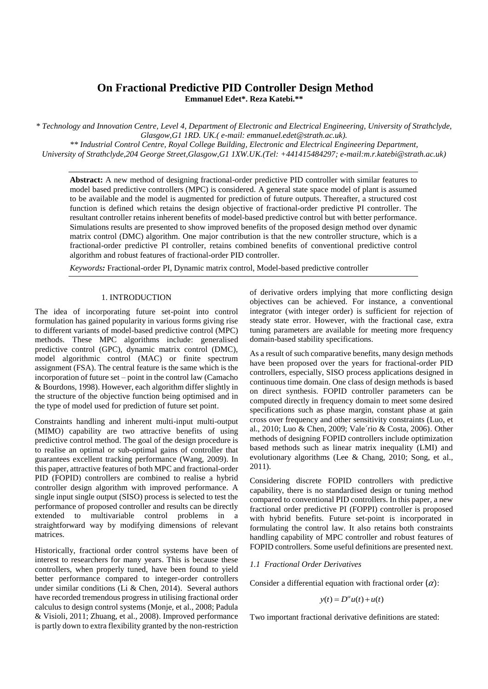# **On Fractional Predictive PID Controller Design Method Emmanuel Edet\*. Reza Katebi.\*\***

*\* Technology and Innovation Centre, Level 4, Department of Electronic and Electrical Engineering, University of Strathclyde, Glasgow,G1 1RD. UK.( e-mail: emmanuel.edet@strath.ac.uk).*

*\*\* Industrial Control Centre, Royal College Building, Electronic and Electrical Engineering Department, University of Strathclyde,204 George Street,Glasgow,G1 1XW.UK.(Tel: +441415484297; e-mail:m.r.katebi@strath.ac.uk)*

**Abstract:** A new method of designing fractional-order predictive PID controller with similar features to model based predictive controllers (MPC) is considered*.* A general state space model of plant is assumed to be available and the model is augmented for prediction of future outputs. Thereafter, a structured cost function is defined which retains the design objective of fractional-order predictive PI controller. The resultant controller retains inherent benefits of model-based predictive control but with better performance. Simulations results are presented to show improved benefits of the proposed design method over dynamic matrix control (DMC) algorithm. One major contribution is that the new controller structure, which is a fractional-order predictive PI controller, retains combined benefits of conventional predictive control algorithm and robust features of fractional-order PID controller.

*Keywords:* Fractional-order PI, Dynamic matrix control, Model-based predictive controller

### 1. INTRODUCTION

The idea of incorporating future set-point into control formulation has gained popularity in various forms giving rise to different variants of model-based predictive control (MPC) methods. These MPC algorithms include: generalised predictive control (GPC), dynamic matrix control (DMC), model algorithmic control (MAC) or finite spectrum assignment (FSA). The central feature is the same which is the incorporation of future set – point in the control law (Camacho & Bourdons, 1998). However, each algorithm differ slightly in the structure of the objective function being optimised and in the type of model used for prediction of future set point.

Constraints handling and inherent multi-input multi-output (MIMO) capability are two attractive benefits of using predictive control method. The goal of the design procedure is to realise an optimal or sub-optimal gains of controller that guarantees excellent tracking performance (Wang, 2009). In this paper, attractive features of both MPC and fractional-order PID (FOPID) controllers are combined to realise a hybrid controller design algorithm with improved performance. A single input single output (SISO) process is selected to test the performance of proposed controller and results can be directly extended to multivariable control problems in a straightforward way by modifying dimensions of relevant matrices.

Historically, fractional order control systems have been of interest to researchers for many years. This is because these controllers, when properly tuned, have been found to yield better performance compared to integer-order controllers under similar conditions (Li & Chen, 2014). Several authors have recorded tremendous progress in utilising fractional order calculus to design control systems (Monje, et al., 2008; Padula & Visioli, 2011; Zhuang, et al., 2008). Improved performance is partly down to extra flexibility granted by the non-restriction of derivative orders implying that more conflicting design objectives can be achieved. For instance, a conventional integrator (with integer order) is sufficient for rejection of steady state error. However, with the fractional case, extra tuning parameters are available for meeting more frequency domain-based stability specifications.

As a result of such comparative benefits, many design methods have been proposed over the years for fractional-order PID controllers, especially, SISO process applications designed in continuous time domain. One class of design methods is based on direct synthesis. FOPID controller parameters can be computed directly in frequency domain to meet some desired specifications such as phase margin, constant phase at gain cross over frequency and other sensitivity constraints (Luo, et al., 2010; Luo & Chen, 2009; Vale´rio & Costa, 2006). Other methods of designing FOPID controllers include optimization based methods such as linear matrix inequality (LMI) and evolutionary algorithms (Lee & Chang, 2010; Song, et al., 2011).

Considering discrete FOPID controllers with predictive capability, there is no standardised design or tuning method compared to conventional PID controllers. In this paper, a new fractional order predictive PI (FOPPI) controller is proposed with hybrid benefits. Future set-point is incorporated in formulating the control law. It also retains both constraints handling capability of MPC controller and robust features of FOPID controllers. Some useful definitions are presented next.

### *1.1 Fractional Order Derivatives*

Consider a differential equation with fractional order  $(\alpha)$ :

$$
y(t) = D^{\alpha}u(t) + u(t)
$$

Two important fractional derivative definitions are stated: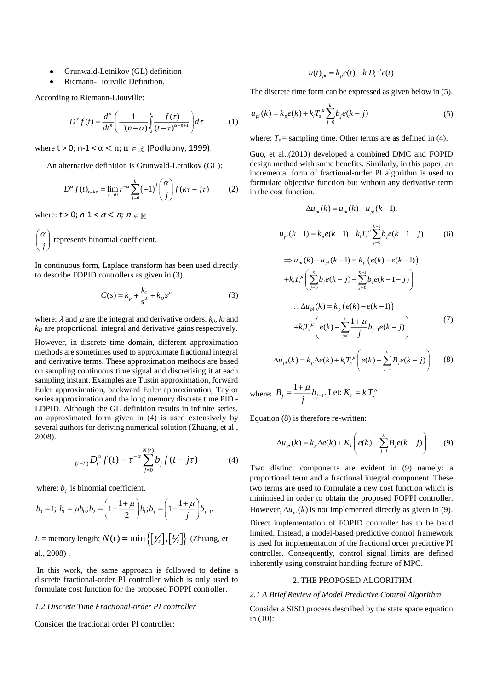- Grunwald-Letnikov (GL) definition
- Riemann-Liouville Definition.

According to Riemann-Liouville:

$$
D^{\alpha} f(t) = \frac{d^n}{dt^n} \left( \frac{1}{\Gamma(n-\alpha)} \int_0^t \frac{f(\tau)}{(t-\tau)^{\alpha-n+1}} \right) d\tau \tag{1}
$$

where  $t > 0$ ; n-1 <  $\alpha$  < n; n  $\in \mathbb{R}$  (Podlubny, 1999).

An alternative definition is Grunwald-Letnikov (GL):

$$
D^{\alpha} f(t)_{t=k\tau} = \lim_{\tau \to 0} \tau^{-\alpha} \sum_{j=0}^{k} (-1)^{j} {\alpha \choose j} f(k\tau - j\tau) \tag{2}
$$

where:  $t > 0$ ;  $n-1 < \alpha < n$ ;  $n \in$ 

*j*  $(\alpha)$  $\begin{bmatrix} r \\ j \end{bmatrix}$  represents binomial coefficient.

In continuous form, Laplace transform has been used directly to describe FOPID controllers as given in (3).

$$
C(s) = k_p + \frac{k_I}{s^{\lambda}} + k_D s^{\mu}
$$
 (3)

where:  $\lambda$  and  $\mu$  are the integral and derivative orders.  $k_p$ ,  $k_l$  and  $k_D$  are proportional, integral and derivative gains respectively.

However, in discrete time domain, different approximation methods are sometimes used to approximate fractional integral and derivative terms. These approximation methods are based on sampling continuous time signal and discretising it at each sampling instant. Examples are Tustin approximation, forward Euler approximation, backward Euler approximation, Taylor series approximation and the long memory discrete time PID - LDPID. Although the GL definition results in infinite series, an approximated form given in (4) is used extensively by several authors for deriving numerical solution (Zhuang, et al., 2008).

$$
{}_{(t-L)}D_t^{\alpha} f(t) = \tau^{-\alpha} \sum_{j=0}^{N(t)} b_j f(t - j\tau)
$$
 (4)

where:  $b_j$  is binomial coefficient.

$$
b_0 = 1; b_1 = \mu b_0; b_2 = \left(1 - \frac{1 + \mu}{2}\right) b_1; b_j = \left(1 - \frac{1 + \mu}{j}\right) b_{j-1}.
$$

 $L =$  memory length;  $N(t) = \min\left\{ \left[ \frac{1}{t} \right], \left[ \frac{L}{t} \right] \right\}$  (Zhuang, et al., 2008) .

In this work, the same approach is followed to define a discrete fractional-order PI controller which is only used to formulate cost function for the proposed FOPPI controller.

# *1.2 Discrete Time Fractional-order PI controller*

Consider the fractional order PI controller:

$$
u(t)_{pi} = k_p e(t) + k_i D_t^{-\mu} e(t)
$$

The discrete time form can be expressed as given below in (5).

$$
u_{pi}(k) = k_{p}e(k) + k_{i}T_{s}^{\mu}\sum_{j=0}^{k}b_{j}e(k-j)
$$
\n(5)

where:  $T_s$  = sampling time. Other terms are as defined in (4).

Guo, et al.,(2010) developed a combined DMC and FOPID design method with some benefits. Similarly, in this paper, an incremental form of fractional-order PI algorithm is used to formulate objective function but without any derivative term in the cost function.

$$
\Delta u_{pi}(k) = u_{pi}(k) - u_{pi}(k-1).
$$
\n
$$
u_{pi}(k-1) = k_{p}e(k-1) + k_{i}T_{s}^{\mu} \sum_{j=0}^{k-1} b_{j}e(k-1-j)
$$
\n
$$
\Rightarrow u_{pi}(k) - u_{pi}(k-1) = k_{p}(e(k) - e(k-1))
$$
\n
$$
+ k_{i}T_{s}^{\mu} \left( \sum_{j=0}^{k} b_{j}e(k-j) - \sum_{j=0}^{k-1} b_{j}e(k-1-j) \right)
$$
\n
$$
\therefore \Delta u_{pi}(k) = k_{p}(e(k) - e(k-1))
$$
\n
$$
+ k_{i}T_{s}^{\mu} \left( e(k) - \sum_{j=1}^{k} \frac{1+\mu}{j} b_{j-1}e(k-j) \right)
$$
\n(7)

$$
\Delta u_{pi}(k) = k_p \Delta e(k) + k_i T_s^{\mu} \left( e(k) - \sum_{j=1}^k B_j e(k-j) \right) \tag{8}
$$

where:  $B_i = \frac{I}{i} b_{i-1}$  $B_j = \frac{1 + \mu}{j} b_{j-1}$ . Let:  $K_i = k_i T_s^{\mu}$  $=\frac{1+\mu}{b}$ , Let:  $K_i=$ 

Equation (8) is therefore re-written:

$$
\Delta u_{pi}(k) = k_p \Delta e(k) + K_I \left( e(k) - \sum_{j=1}^k B_j e(k-j) \right) \tag{9}
$$

Two distinct components are evident in (9) namely: a proportional term and a fractional integral component. These two terms are used to formulate a new cost function which is minimised in order to obtain the proposed FOPPI controller. However,  $\Delta u_{pi}(k)$  is not implemented directly as given in (9).

Direct implementation of FOPID controller has to be band limited. Instead, a model-based predictive control framework is used for implementation of the fractional order predictive PI controller. Consequently, control signal limits are defined inherently using constraint handling feature of MPC.

## 2. THE PROPOSED ALGORITHM

#### *2.1 A Brief Review of Model Predictive Control Algorithm*

Consider a SISO process described by the state space equation in (10):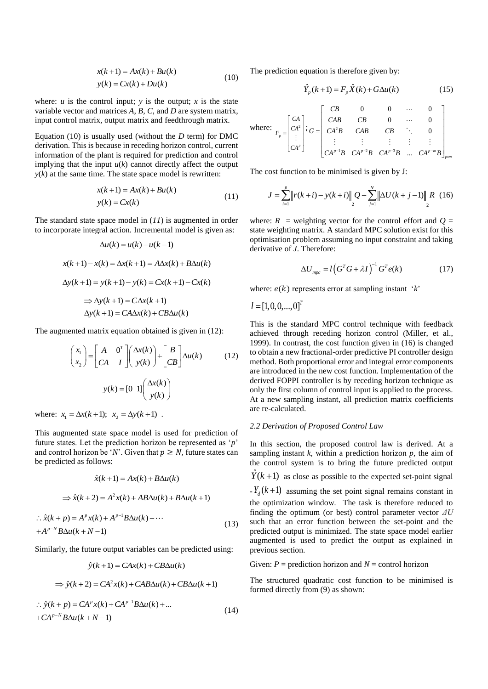$$
x(k+1) = Ax(k) + Bu(k)
$$
  
\n
$$
y(k) = Cx(k) + Du(k)
$$
\n(10)

where:  $u$  is the control input;  $y$  is the output;  $x$  is the state variable vector and matrices *A*, *B*, *C*, and *D* are system matrix, input control matrix, output matrix and feedthrough matrix.

Equation (10) is usually used (without the *D* term) for DMC derivation. This is because in receding horizon control, current information of the plant is required for prediction and control implying that the input  $u(k)$  cannot directly affect the output  $y(k)$  at the same time. The state space model is rewritten:

$$
x(k+1) = Ax(k) + Bu(k)
$$
  
\n
$$
y(k) = Cx(k)
$$
\n(11)

The standard state space model in (*11*) is augmented in order to incorporate integral action. Incremental model is given as:

$$
\Delta u(k) = u(k) - u(k-1)
$$
  

$$
x(k+1) - x(k) = \Delta x(k+1) = A\Delta x(k) + B\Delta u(k)
$$
  

$$
\Delta y(k+1) = y(k+1) - y(k) = Cx(k+1) - Cx(k)
$$
  

$$
\Rightarrow \Delta y(k+1) = C\Delta x(k+1)
$$
  

$$
\Delta y(k+1) = C\Delta x(k) + C\Delta u(k)
$$

The augmented matrix equation obtained is given in (12):

$$
\begin{pmatrix} x_1 \\ x_2 \end{pmatrix} = \begin{bmatrix} A & 0^T \\ CA & I \end{bmatrix} \begin{pmatrix} \Delta x(k) \\ y(k) \end{pmatrix} + \begin{bmatrix} B \\ CB \end{pmatrix} \Delta u(k) \tag{12}
$$

$$
y(k) = \begin{bmatrix} 0 & 1 \end{bmatrix} \begin{pmatrix} \Delta x(k) \\ y(k) \end{pmatrix}
$$

where:  $x_1 = \Delta x(k+1); x_2 = \Delta y(k+1)$ .

This augmented state space model is used for prediction of future states. Let the prediction horizon be represented as '*p*' and control horizon be '*N*'. Given that  $p \geq N$ , future states can be predicted as follows:

$$
\hat{x}(k+1) = Ax(k) + B\Delta u(k)
$$
  
\n
$$
\Rightarrow \hat{x}(k+2) = A^2 x(k) + AB\Delta u(k) + B\Delta u(k+1)
$$
  
\n
$$
\therefore \hat{x}(k+p) = A^p x(k) + A^{p-1}B\Delta u(k) + \cdots
$$
  
\n
$$
+A^{p-N}B\Delta u(k+N-1)
$$
\n(13)

Similarly, the future output variables can be predicted using:

$$
\hat{y}(k+1) = CAx(k) + CB\Delta u(k)
$$
  
\n
$$
\Rightarrow \hat{y}(k+2) = CA^2x(k) + CAB\Delta u(k) + CB\Delta u(k+1)
$$

$$
\therefore \hat{y}(k+p) = CA^{p}x(k) + CA^{p-1}B\Delta u(k) + ...
$$
  
+
$$
CA^{p-N}B\Delta u(k+N-1)
$$
 (14)

The prediction equation is therefore given by:

$$
\hat{Y}_p(k+1) = F_p \hat{X}(k) + G\Delta u(k)
$$
\n(15)

where: 
$$
F_p = \begin{bmatrix} CA \\ CA^2 \\ \vdots \\ CA^p \end{bmatrix}; G = \begin{bmatrix} CB & 0 & 0 & \cdots & 0 \\ CAB & CB & 0 & \cdots & 0 \\ CA^2B & CAB & CB & \ddots & 0 \\ \vdots & \vdots & \vdots & \vdots & \vdots \\ CA^{p-1}B & CA^{p-2}B & CA^{p-3}B & \cdots & CA^{p-m}B \end{bmatrix}_{p \text{sym}}
$$

The cost function to be minimised is given by J:

$$
J = \sum_{i=1}^{p} \left\| r(k+i) - y(k+i) \right\|_{2} Q + \sum_{j=1}^{N} \left\| \Delta U(k+j-1) \right\|_{2} R \quad (16)
$$

where:  $R =$  weighting vector for the control effort and  $Q =$ state weighting matrix. A standard MPC solution exist for this optimisation problem assuming no input constraint and taking derivative of *J*. Therefore:

$$
\Delta U_{\text{mpc}} = l \left( G^T G + \lambda I \right)^{-1} G^T e(k) \tag{17}
$$

where:  $e(k)$  represents error at sampling instant '*k*'

$$
l = [1, 0, 0, \ldots, 0]^T
$$

previous section.

This is the standard MPC control technique with feedback achieved through receding horizon control (Miller, et al., 1999). In contrast, the cost function given in (16) is changed to obtain a new fractional-order predictive PI controller design method. Both proportional error and integral error components are introduced in the new cost function. Implementation of the derived FOPPI controller is by receding horizon technique as only the first column of control input is applied to the process. At a new sampling instant, all prediction matrix coefficients are re-calculated.

#### *2.2 Derivation of Proposed Control Law*

In this section, the proposed control law is derived. At a sampling instant  $k$ , within a prediction horizon  $p$ , the aim of the control system is to bring the future predicted output  $\hat{Y}(k+1)$  as close as possible to the expected set-point signal  $-Y_d(k+1)$  assuming the set point signal remains constant in the optimization window. The task is therefore reduced to finding the optimum (or best) control parameter vector *ΔU*  such that an error function between the set-point and the predicted output is minimized. The state space model earlier augmented is used to predict the output as explained in

Given:  $P =$  prediction horizon and  $N =$  control horizon

The structured quadratic cost function to be minimised is formed directly from (9) as shown: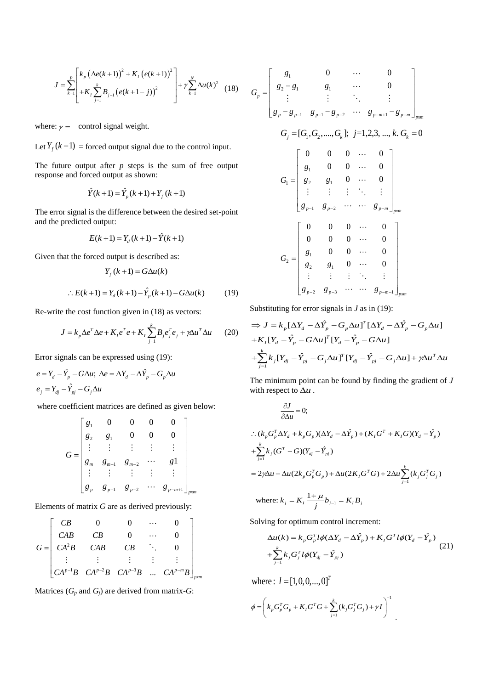$$
J = \sum_{k=1}^{P} \left[ \frac{k_p \left( \Delta e(k+1) \right)^2 + K_I \left( e(k+1) \right)^2}{+ K_I \sum_{j=1}^{k} B_{j-1} \left( e(k+1-j) \right)^2} \right] + \gamma \sum_{k=1}^{N} \Delta u(k)^2 \tag{18}
$$

where:  $\gamma = \text{control signal weight.}$ 

Let  $Y_f(k+1)$  = forced output signal due to the control input.

The future output after  $p$  steps is the sum of free output response and forced output as shown:

$$
\hat{Y}(k+1) = \hat{Y}_p(k+1) + Y_f(k+1)
$$

The error signal is the difference between the desired set-point and the predicted output:

$$
E(k+1) = Y_d(k+1) - \hat{Y}(k+1)
$$

Given that the forced output is described as:

$$
Y_f(k+1) = G\Delta u(k)
$$
  
:.  $E(k+1) = Y_d(k+1) - \hat{Y}_p(k+1) - G\Delta u(k)$  (19)

Re-write the cost function given in (18) as vectors:

$$
J = k_p \Delta e^T \Delta e + K_I e^T e + K_I \sum_{j=1}^k B_j e_j^T e_j + \gamma \Delta u^T \Delta u \qquad (20)
$$

Error signals can be expressed using (19):

$$
e = Y_d - \hat{Y}_p - G\Delta u; \ \Delta e = \Delta Y_d - \Delta \hat{Y}_p - G_p \Delta u
$$

$$
e_j = Y_{dj} - \hat{Y}_{pj} - G_j \Delta u
$$

where coefficient matrices are defined as given below:

$$
G = \begin{bmatrix} g_1 & 0 & 0 & 0 & 0 \\ g_2 & g_1 & 0 & 0 & 0 \\ \vdots & \vdots & \vdots & \vdots & \vdots \\ g_m & g_{m-1} & g_{m-2} & \cdots & g_1 \\ \vdots & \vdots & \vdots & \vdots & \vdots \\ g_p & g_{p-1} & g_{p-2} & \cdots & g_{p-m+1} \end{bmatrix}_{p \text{ and }}
$$

Elements of matrix *G* are as derived previously:

$$
G = \begin{bmatrix} CB & 0 & 0 & \cdots & 0 \\ CAB & CB & 0 & \cdots & 0 \\ CA^2B & CAB & CB & \ddots & 0 \\ \vdots & \vdots & \vdots & \vdots & \vdots \\ CA^{p-1}B & CA^{p-2}B & CA^{p-3}B & \cdots & CA^{p-m}B \end{bmatrix}_{p_xm}
$$

Matrices  $(G_p \text{ and } G_j)$  are derived from matrix-*G*:

$$
= \begin{bmatrix} g_1 & 0 & \cdots & 0 \\ g_2 - g_1 & g_1 & \cdots & 0 \\ \vdots & \vdots & \ddots & \vdots \\ g_p - g_{p-1} & g_{p-1} - g_{p-2} & \cdots & g_{p-m+1} - g_{p-m} \end{bmatrix}_{pxm}
$$
  
\n
$$
G_j = [G_1, G_2, \dots, G_k]; j=1,2,3, \dots, k, G_k = 0
$$
  
\n
$$
G_1 = \begin{bmatrix} 0 & 0 & 0 & \cdots & 0 \\ g_1 & 0 & 0 & \cdots & 0 \\ g_2 & g_1 & 0 & \cdots & 0 \\ \vdots & \vdots & \vdots & \ddots & \vdots \\ g_{p-1} & g_{p-2} & \cdots & g_{p-m} \end{bmatrix}_{pxm}
$$
  
\n
$$
G_2 = \begin{bmatrix} 0 & 0 & 0 & \cdots & 0 \\ 0 & 0 & 0 & \cdots & 0 \\ g_1 & 0 & 0 & \cdots & 0 \\ g_2 & g_1 & 0 & \cdots & 0 \\ \vdots & \vdots & \vdots & \ddots & \vdots \\ g_{p-2} & g_{p-3} & \cdots & g_{p-m-1} \end{bmatrix}_{pxm}
$$

*p G*

Substituting for error signals in *J* as in (19):

$$
\Rightarrow J = k_p [\Delta Y_d - \Delta \hat{Y}_p - G_p \Delta u]^T [\Delta Y_d - \Delta \hat{Y}_p - G_p \Delta u]
$$
  
+ $K_I [Y_d - \hat{Y}_p - G \Delta u]^T [Y_d - \hat{Y}_p - G \Delta u]$   
+ $\sum_{j=1}^k k_j [Y_{dj} - \hat{Y}_{pj} - G_j \Delta u]^T [Y_{dj} - \hat{Y}_{pj} - G_j \Delta u] + \gamma \Delta u^T \Delta u$ 

The minimum point can be found by finding the gradient of *J* with respect to  $\Delta u$ .

$$
\frac{\partial J}{\partial \Delta u} = 0;
$$
\n
$$
\therefore (k_p G_p^T \Delta Y_d + k_p G_p)(\Delta Y_d - \Delta \hat{Y}_p) + (K_I G^T + K_I G)(Y_d - \hat{Y}_p)
$$
\n
$$
+ \sum_{j=1}^k k_j (G^T + G)(Y_{dj} - \hat{Y}_{pj})
$$
\n
$$
= 2\gamma \Delta u + \Delta u (2k_p G_p^T G_p) + \Delta u (2K_I G^T G) + 2\Delta u \sum_{j=1}^k (k_j G_j^T G_j)
$$

where: 
$$
k_j = K_I \frac{1 + \mu}{j} b_{j-1} = K_I B_j
$$

Solving for optimum control increment:

$$
\Delta u(k) = k_p G_p^T l \phi(\Delta Y_d - \Delta \hat{Y}_p) + K_I G^T l \phi(Y_d - \hat{Y}_p)
$$
  
+
$$
\sum_{j=1}^k k_j G_j^T l \phi(Y_{dj} - \hat{Y}_{pj})
$$
 (21)

.

where :  $l = [1,0,0,...,0]^T$ 

$$
\phi = \left(k_p G_p^T G_p + K_I G^T G + \sum_{j=1}^k (k_j G_j^T G_j) + \gamma I\right)^{-1}
$$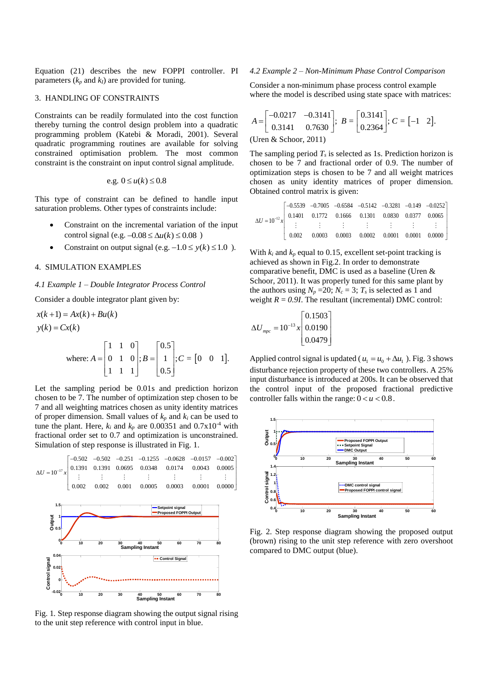Equation (21) describes the new FOPPI controller. PI parameters  $(k_p \text{ and } k_l)$  are provided for tuning.

#### 3.HANDLING OF CONSTRAINTS

Constraints can be readily formulated into the cost function thereby turning the control design problem into a quadratic programming problem (Katebi & Moradi, 2001). Several quadratic programming routines are available for solving constrained optimisation problem. The most common constraint is the constraint on input control signal amplitude.

e.g. 
$$
0 \le u(k) \le 0.8
$$

This type of constraint can be defined to handle input saturation problems. Other types of constraints include:

- Constraint on the incremental variation of the input control signal (e.g.  $-0.08 \le \Delta u(k) \le 0.08$ )
- Constraint on output signal (e.g.  $-1.0 \le y(k) \le 1.0$ ).

# 4.SIMULATION EXAMPLES

### *4.1 Example 1 – Double Integrator Process Control*

Consider a double integrator plant given by:

 $x(k+1) = Ax(k) + Bu(k)$  $y(k) = Cx(k)$ 

where: 
$$
A = \begin{bmatrix} 1 & 1 & 0 \\ 0 & 1 & 0 \\ 1 & 1 & 1 \end{bmatrix}
$$
;  $B = \begin{bmatrix} 0.5 \\ 1 \\ 0.5 \end{bmatrix}$ ;  $C = \begin{bmatrix} 0 & 0 & 1 \end{bmatrix}$ .

Let the sampling period be 0.01s and prediction horizon chosen to be 7. The number of optimization step chosen to be 7 and all weighting matrices chosen as unity identity matrices of proper dimension. Small values of  $k_p$  and  $k_i$  can be used to tune the plant. Here,  $k_i$  and  $k_p$  are 0.00351 and 0.7x10<sup>-4</sup> with fractional order set to 0.7 and optimization is unconstrained. Simulation of step response is illustrated in Fig. 1.



Fig. 1*.* Step response diagram showing the output signal rising to the unit step reference with control input in blue.

### *4.2 Example 2 – Non-Minimum Phase Control Comparison*

Consider a non-minimum phase process control example where the model is described using state space with matrices:

$$
A = \begin{bmatrix} -0.0217 & -0.3141 \\ 0.3141 & 0.7630 \end{bmatrix}; B = \begin{bmatrix} 0.3141 \\ 0.2364 \end{bmatrix}; C = \begin{bmatrix} -1 & 2 \end{bmatrix}.
$$
  
(Uren & Schoor, 2011)

The sampling period *T<sup>s</sup>* is selected as 1s. Prediction horizon is chosen to be 7 and fractional order of 0.9. The number of optimization steps is chosen to be 7 and all weight matrices chosen as unity identity matrices of proper dimension. Obtained control matrix is given:

$$
\Delta U = 10^{-12} x \begin{bmatrix} -0.5539 & -0.7005 & -0.6584 & -0.5142 & -0.3281 & -0.149 & -0.0252 \\ 0.1401 & 0.1772 & 0.1666 & 0.1301 & 0.0830 & 0.0377 & 0.0065 \\ \vdots & \vdots & \vdots & \vdots & \vdots & \vdots & \vdots \\ 0.002 & 0.0003 & 0.0003 & 0.0002 & 0.0001 & 0.0001 & 0.0000 \end{bmatrix}
$$

With  $k_i$  and  $k_p$  equal to 0.15, excellent set-point tracking is achieved as shown in Fig.2. In order to demonstrate comparative benefit, DMC is used as a baseline (Uren & Schoor, 2011). It was properly tuned for this same plant by the authors using  $N_p = 20$ ;  $N_c = 3$ ;  $T_s$  is selected as 1 and weight  $R = 0.9I$ . The resultant (incremental) DMC control:

$$
\Delta U_{\text{mpc}} = 10^{-13} x \begin{bmatrix} 0.1503 \\ 0.0190 \\ 0.0479 \end{bmatrix}
$$

Applied control signal is updated ( $u_1 = u_0 + \Delta u_1$ ). Fig. 3 shows disturbance rejection property of these two controllers. A 25% input disturbance is introduced at 200s. It can be observed that the control input of the proposed fractional predictive controller falls within the range:  $0 < u < 0.8$ .



Fig. 2. Step response diagram showing the proposed output (brown) rising to the unit step reference with zero overshoot compared to DMC output (blue).